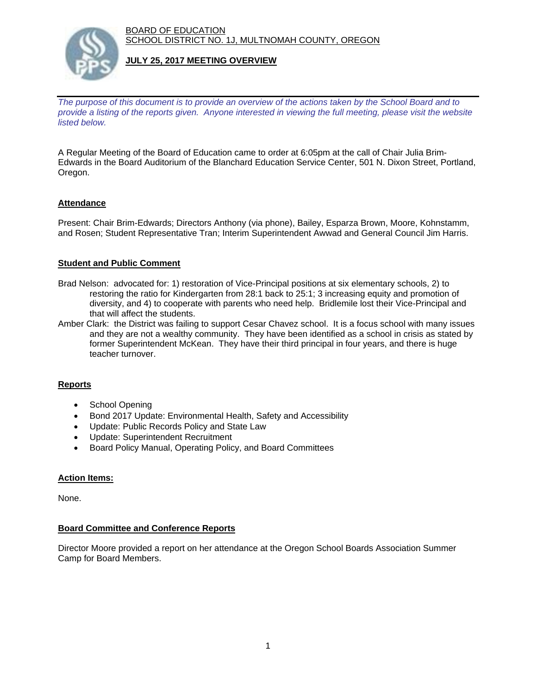BOARD OF EDUCATION SCHOOL DISTRICT NO. 1J, MULTNOMAH COUNTY, OREGON



#### **JULY 25, 2017 MEETING OVERVIEW**

*The purpose of this document is to provide an overview of the actions taken by the School Board and to provide a listing of the reports given. Anyone interested in viewing the full meeting, please visit the website listed below.*

A Regular Meeting of the Board of Education came to order at 6:05pm at the call of Chair Julia Brim-Edwards in the Board Auditorium of the Blanchard Education Service Center, 501 N. Dixon Street, Portland, Oregon.

## **Attendance**

Present: Chair Brim-Edwards; Directors Anthony (via phone), Bailey, Esparza Brown, Moore, Kohnstamm, and Rosen; Student Representative Tran; Interim Superintendent Awwad and General Council Jim Harris.

## **Student and Public Comment**

- Brad Nelson: advocated for: 1) restoration of Vice-Principal positions at six elementary schools, 2) to restoring the ratio for Kindergarten from 28:1 back to 25:1; 3 increasing equity and promotion of diversity, and 4) to cooperate with parents who need help. Bridlemile lost their Vice-Principal and that will affect the students.
- Amber Clark: the District was failing to support Cesar Chavez school. It is a focus school with many issues and they are not a wealthy community. They have been identified as a school in crisis as stated by former Superintendent McKean. They have their third principal in four years, and there is huge teacher turnover.

## **Reports**

- School Opening
- Bond 2017 Update: Environmental Health, Safety and Accessibility
- Update: Public Records Policy and State Law
- Update: Superintendent Recruitment
- Board Policy Manual, Operating Policy, and Board Committees

## **Action Items:**

None.

#### **Board Committee and Conference Reports**

Director Moore provided a report on her attendance at the Oregon School Boards Association Summer Camp for Board Members.